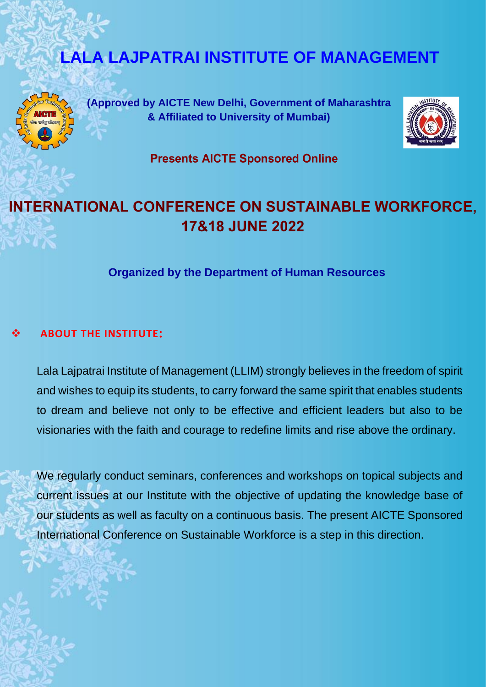# **LALA LAJPATRAI INSTITUTE OF MANAGEMENT**



**(Approved by AICTE New Delhi, Government of Maharashtra & Affiliated to University of Mumbai)**



**Presents AICTE Sponsored Online** 

# **INTERNATIONAL CONFERENCE ON SUSTAINABLE WORKFORCE, 17&18 JUNE 2022**

**Organized by the Department of Human Resources**

## ❖ **ABOUT THE INSTITUTE:**

Lala Lajpatrai Institute of Management (LLIM) strongly believes in the freedom of spirit and wishes to equip its students, to carry forward the same spirit that enables students to dream and believe not only to be effective and efficient leaders but also to be visionaries with the faith and courage to redefine limits and rise above the ordinary.

We regularly conduct seminars, conferences and workshops on topical subjects and current issues at our Institute with the objective of updating the knowledge base of our students as well as faculty on a continuous basis. The present AICTE Sponsored International Conference on Sustainable Workforce is a step in this direction.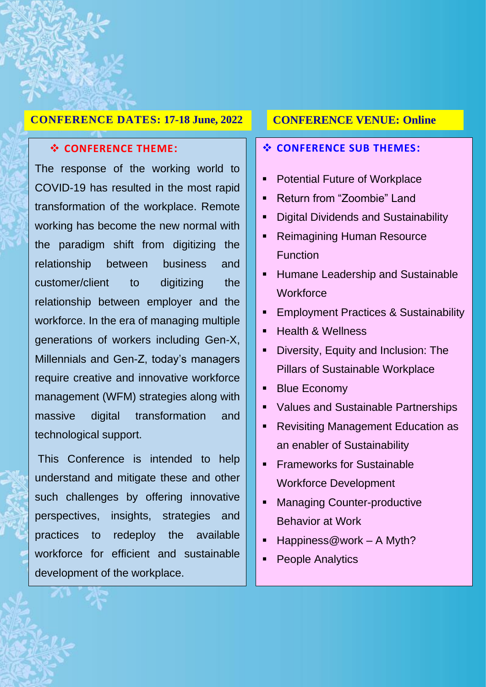#### **CONFERENCE DATES: 17-18 June, 2022**

#### ❖ **CONFERENCE THEME:**

Ī

The response of the working world to COVID-19 has resulted in the most rapid transformation of the workplace. Remote working has become the new normal with the paradigm shift from digitizing the relationship between business and customer/client to digitizing the relationship between employer and the workforce. In the era of managing multiple generations of workers including Gen-X, Millennials and Gen-Z, today's managers require creative and innovative workforce management (WFM) strategies along with massive digital transformation and technological support.

This Conference is intended to help understand and mitigate these and other such challenges by offering innovative perspectives, insights, strategies and practices to redeploy the available workforce for efficient and sustainable development of the workplace.

#### **CONFERENCE VENUE: Online**

#### ❖ **CONFERENCE SUB THEMES:**

- Potential Future of Workplace
- Return from "Zoombie" Land
- Digital Dividends and Sustainability
- Reimagining Human Resource **Function**
- Humane Leadership and Sustainable **Workforce**
- **Employment Practices & Sustainability**
- **Health & Wellness**
- **•** Diversity, Equity and Inclusion: The Pillars of Sustainable Workplace
- Blue Economy
- Values and Sustainable Partnerships
- Revisiting Management Education as an enabler of Sustainability
- **Exameworks for Sustainable** Workforce Development
- Managing Counter-productive Behavior at Work
- $\blacksquare$  Happiness@work A Myth?
- **People Analytics**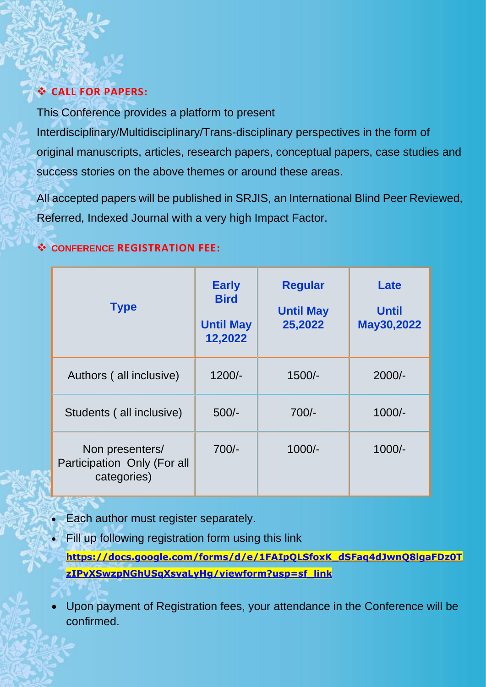## ❖ **CALL FOR PAPERS:**

This Conference provides a platform to present

Interdisciplinary/Multidisciplinary/Trans-disciplinary perspectives in the form of original manuscripts, articles, research papers, conceptual papers, case studies and success stories on the above themes or around these areas.

All accepted papers will be published in SRJIS, an International Blind Peer Reviewed, Referred, Indexed Journal with a very high Impact Factor.

## ❖ **CONFERENCE REGISTRATION FEE:**

| <b>Type</b>                                                   | <b>Early</b><br><b>Bird</b><br><b>Until May</b><br>12,2022 | <b>Regular</b><br><b>Until May</b><br>25,2022 | Late<br><b>Until</b><br>May30,2022 |
|---------------------------------------------------------------|------------------------------------------------------------|-----------------------------------------------|------------------------------------|
| Authors (all inclusive)                                       | $1200/-$                                                   | $1500/-$                                      | $2000/-$                           |
| Students (all inclusive)                                      | $500/-$                                                    | $700/-$                                       | $1000/-$                           |
| Non presenters/<br>Participation Only (For all<br>categories) | $700/-$                                                    | $1000/-$                                      | $1000/-$                           |

- Each author must register separately.
- Fill up following registration form using this link **[https://docs.google.com/forms/d/e/1FAIpQLSfoxK\\_dSFaq4dJwnQ8lgaFDz0T](https://docs.google.com/forms/d/e/1FAIpQLSfoxK_dSFaq4dJwnQ8lgaFDz0TzIPvXSwzpNGhUSqXsvaLyHg/viewform?usp=sf_link) [zIPvXSwzpNGhUSqXsvaLyHg/viewform?usp=sf\\_link](https://docs.google.com/forms/d/e/1FAIpQLSfoxK_dSFaq4dJwnQ8lgaFDz0TzIPvXSwzpNGhUSqXsvaLyHg/viewform?usp=sf_link)**
- Upon payment of Registration fees, your attendance in the Conference will be confirmed.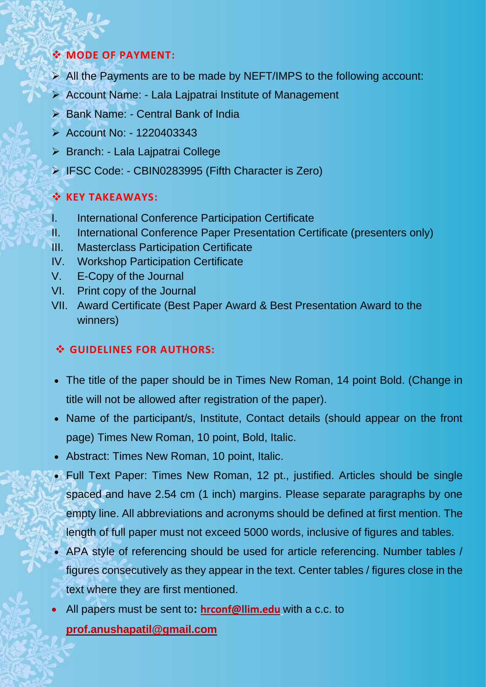## ❖ **MODE OF PAYMENT:**

- ➢ All the Payments are to be made by NEFT/IMPS to the following account:
- ➢ Account Name: Lala Lajpatrai Institute of Management
- ➢ Bank Name: Central Bank of India
- ➢ Account No: 1220403343
- ➢ Branch: Lala Lajpatrai College
- ➢ IFSC Code: CBIN0283995 (Fifth Character is Zero)

## ❖ **KEY TAKEAWAYS:**

- I. International Conference Participation Certificate
- II. International Conference Paper Presentation Certificate (presenters only)
- III. Masterclass Participation Certificate
- IV. Workshop Participation Certificate
- V. E-Copy of the Journal
- VI. Print copy of the Journal
- VII. Award Certificate (Best Paper Award & Best Presentation Award to the winners)

## ❖ **GUIDELINES FOR AUTHORS:**

- The title of the paper should be in Times New Roman, 14 point Bold. (Change in title will not be allowed after registration of the paper).
- Name of the participant/s, Institute, Contact details (should appear on the front page) Times New Roman, 10 point, Bold, Italic.
- Abstract: Times New Roman, 10 point, Italic.
- Full Text Paper: Times New Roman, 12 pt., justified. Articles should be single spaced and have 2.54 cm (1 inch) margins. Please separate paragraphs by one empty line. All abbreviations and acronyms should be defined at first mention. The length of full paper must not exceed 5000 words, inclusive of figures and tables.
- APA style of referencing should be used for article referencing. Number tables / figures consecutively as they appear in the text. Center tables / figures close in the text where they are first mentioned.
- All papers must be sent to**: [hrconf@llim.edu](mailto:hrconf@llim.edu)** with a c.c. to
	- **[prof.anushapatil@gmail.com](mailto:prof.anushapatil@gmail.com)**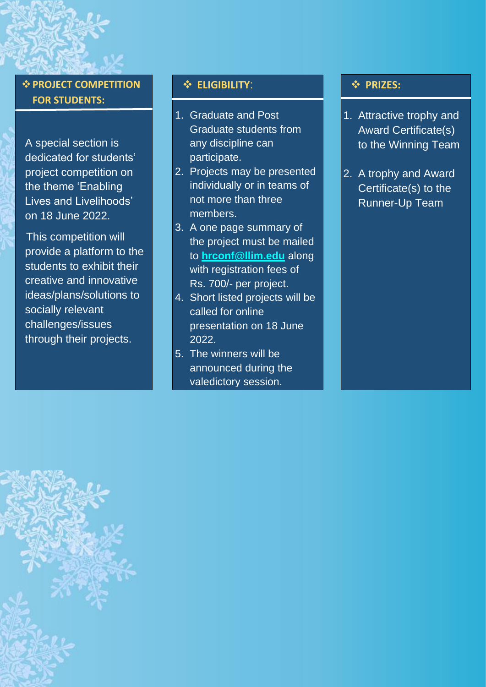❖**PROJECT COMPETITION FOR STUDENTS:** 

A special section is dedicated for students' project competition on the theme 'Enabling Lives and Livelihoods' on 18 June 2022.

 This competition will provide a platform to the students to exhibit their creative and innovative ideas/plans/solutions to socially relevant challenges/issues through their projects.

#### ❖ **ELIGIBILITY**:

- 1. Graduate and Post Graduate students from any discipline can participate.
- 2. Projects may be presented individually or in teams of not more than three members.
- 3. A one page summary of the project must be mailed to **[hrconf@llim.edu](mailto:hrconf@llim.edu)** along with registration fees of Rs. 700/- per project.
- 4. Short listed projects will be called for online presentation on 18 June 2022.
- 5. The winners will be announced during the valedictory session.

#### ❖ **PRIZES:**

- 1. Attractive trophy and Award Certificate(s) to the Winning Team
- 2. A trophy and Award Certificate(s) to the Runner-Up Team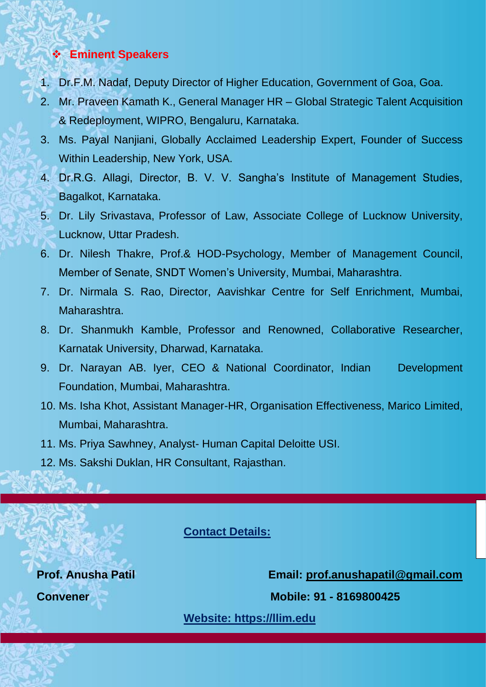### ❖ **Eminent Speakers**

- 1. Dr.F.M. Nadaf, Deputy Director of Higher Education, Government of Goa, Goa.
- 2. Mr. Praveen Kamath K., General Manager HR Global Strategic Talent Acquisition & Redeployment, WIPRO, Bengaluru, Karnataka.
- 3. Ms. Payal Nanjiani, Globally Acclaimed Leadership Expert, Founder of Success Within Leadership, New York, USA.
- 4. Dr.R.G. Allagi, Director, B. V. V. Sangha's Institute of Management Studies, Bagalkot, Karnataka.
- 5. Dr. Lily Srivastava, Professor of Law, Associate College of Lucknow University, Lucknow, Uttar Pradesh.
- 6. Dr. Nilesh Thakre, Prof.& HOD-Psychology, Member of Management Council, Member of Senate, SNDT Women's University, Mumbai, Maharashtra.
- 7. Dr. Nirmala S. Rao, Director, Aavishkar Centre for Self Enrichment, Mumbai, Maharashtra.
- 8. Dr. Shanmukh Kamble, Professor and Renowned, Collaborative Researcher, Karnatak University, Dharwad, Karnataka.
- 9. Dr. Narayan AB. Iyer, CEO & National Coordinator, Indian Development Foundation, Mumbai, Maharashtra.
- 10. Ms. Isha Khot, Assistant Manager-HR, Organisation Effectiveness, Marico Limited, Mumbai, Maharashtra.
- 11. Ms. Priya Sawhney, Analyst- Human Capital Deloitte USI.
- 12. Ms. Sakshi Duklan, HR Consultant, Rajasthan.

**Contact Details:**

**Prof. Anusha Patil Email: [prof.anushapatil@gmail.com](mailto:prof.anushapatil@gmail.com)**

**Convener Mobile: 91 - 8169800425** 

**[Website: https://llim.edu](https://llim.edu/)**